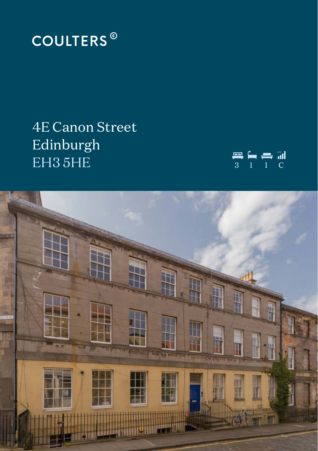

# **4E Canon Street** Edinburgh EH35HE



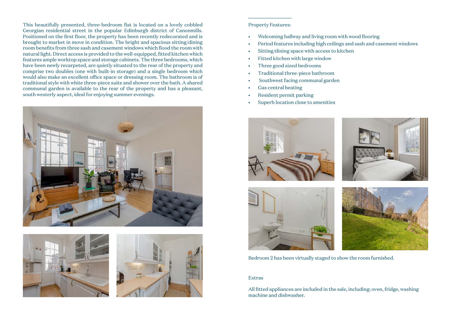This beautifully presented, three-bedroom flat is located on a lovely cobbled Georgian residential street in the popular Edinburgh district of Canonmills. Positioned on the first floor, the property has been recently redecorated and is brought to market in move in condition. The bright and spacious sitting/dining room benefits from three sash and casement windows which flood the room with natural light. Direct access is provided to the well-equipped, fitted kitchen which features ample worktop space and storage cabinets. The three bedrooms, which have been newly recarpeted, are quietly situated to the rear of the property and comprise two doubles (one with built-in storage) and a single bedroom which would also make an excellent office space or dressing room. The bathroom is of traditional style with white three-piece suite and shower over the bath. A shared communal garden is available to the rear of the property and has a pleasant, south westerly aspect, ideal for enjoying summer evenings.







## Property Features:

- Welcoming hallway and living room with wood flooring
- Period features including high ceilings and sash and casement windows
- Sitting/dining space with access to kitchen
- Fitted kitchen with large window
- Three good sized bedrooms
- Traditional three-piece bathroom
- Southwest facing communal garden
- Gas central heating
- Resident permit parking
- Superb location close to amenities



Bedroom 2 has been virtually staged to show the room furnished.

### Extras

All fitted appliances are included in the sale, including; oven, fridge, washing machine and dishwasher.